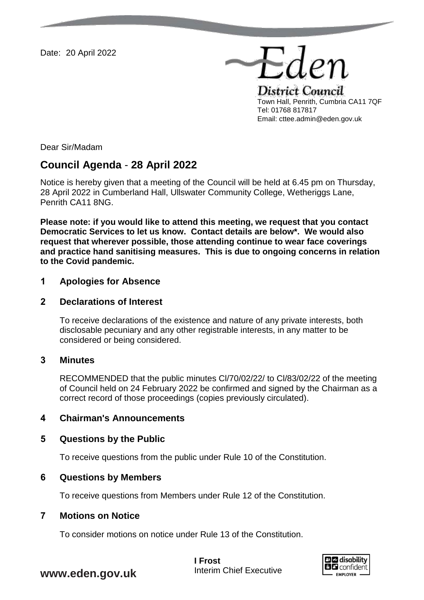Date: 20 April 2022

District Council Town Hall, Penrith, Cumbria CA11 7QF Tel: 01768 817817 Email: cttee.admin@eden.gov.uk

Eden

Dear Sir/Madam

# **Council Agenda** - **28 April 2022**

Notice is hereby given that a meeting of the Council will be held at 6.45 pm on Thursday, 28 April 2022 in Cumberland Hall, Ullswater Community College, Wetheriggs Lane, Penrith CA11 8NG.

**Please note: if you would like to attend this meeting, we request that you contact Democratic Services to let us know. Contact details are below\*. We would also request that wherever possible, those attending continue to wear face coverings and practice hand sanitising measures. This is due to ongoing concerns in relation to the Covid pandemic.** 

## **1 Apologies for Absence**

### **2 Declarations of Interest**

To receive declarations of the existence and nature of any private interests, both disclosable pecuniary and any other registrable interests, in any matter to be considered or being considered.

## **3 Minutes**

RECOMMENDED that the public minutes Cl/70/02/22/ to Cl/83/02/22 of the meeting of Council held on 24 February 2022 be confirmed and signed by the Chairman as a correct record of those proceedings (copies previously circulated).

## **4 Chairman's Announcements**

### **5 Questions by the Public**

To receive questions from the public under Rule 10 of the Constitution.

### **6 Questions by Members**

To receive questions from Members under Rule 12 of the Constitution.

### **7 Motions on Notice**

To consider motions on notice under Rule 13 of the Constitution.



# **www.eden.gov.uk**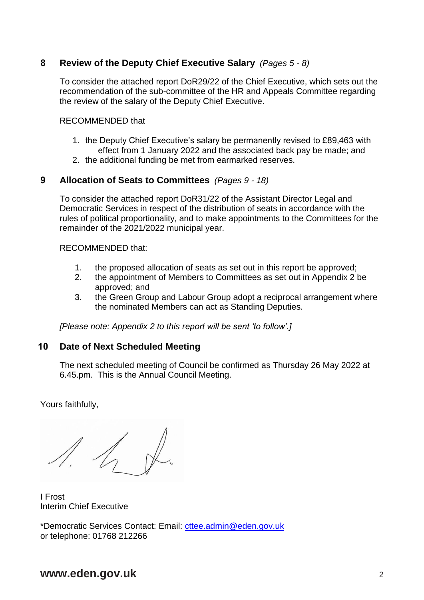# **8 Review of the Deputy Chief Executive Salary** *(Pages 5 - 8)*

To consider the attached report DoR29/22 of the Chief Executive, which sets out the recommendation of the sub-committee of the HR and Appeals Committee regarding the review of the salary of the Deputy Chief Executive.

### RECOMMENDED that

- 1. the Deputy Chief Executive's salary be permanently revised to £89,463 with effect from 1 January 2022 and the associated back pay be made; and
- 2. the additional funding be met from earmarked reserves.

## **9 Allocation of Seats to Committees** *(Pages 9 - 18)*

To consider the attached report DoR31/22 of the Assistant Director Legal and Democratic Services in respect of the distribution of seats in accordance with the rules of political proportionality, and to make appointments to the Committees for the remainder of the 2021/2022 municipal year.

RECOMMENDED that:

- 1. the proposed allocation of seats as set out in this report be approved;
- 2. the appointment of Members to Committees as set out in Appendix 2 be approved; and
- 3. the Green Group and Labour Group adopt a reciprocal arrangement where the nominated Members can act as Standing Deputies.

*[Please note: Appendix 2 to this report will be sent 'to follow'.]*

# **10 Date of Next Scheduled Meeting**

The next scheduled meeting of Council be confirmed as Thursday 26 May 2022 at 6.45.pm. This is the Annual Council Meeting.

Yours faithfully,

 $\Lambda$ 

I Frost Interim Chief Executive

\*Democratic Services Contact: Email: [cttee.admin@eden.gov.uk](mailto:cttee.admin@eden.gov.uk) or telephone: 01768 212266

# **www.eden.gov.uk** 2